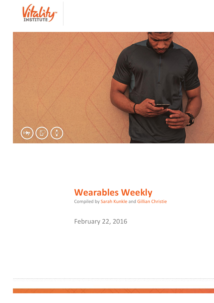



# **Wearables Weekly**

Compiled by Sarah Kunkle and Gillian Christie

February 22, 2016